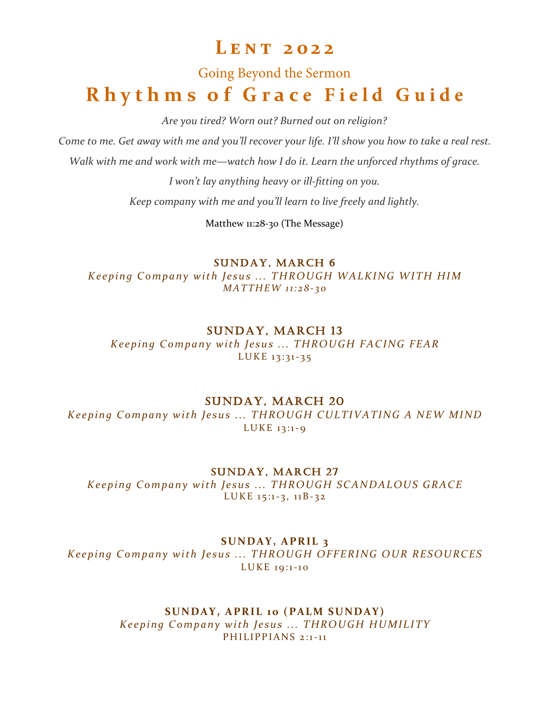# **L e n t 2 0 2 2**

# Going Beyond the Sermon **Rhythms of Grace Field Guide**

*Are you tired? Worn out? Burned out on religion?* 

*Come to me. Get away with me and you'll recover your life. I'll show you how to take a real rest.* 

*Walk with me and work with me—watch how I do it. Learn the unforced rhythms of grace.* 

*I won't lay anything heavy or ill-fitting on you.* 

*Keep company with me and you'll learn to live freely and lightly.*

Matthew 11:28-30 (The Message)

SUNDAY, MARCH 6

*Keeping Company with Jesus ... THROUGH WALKING WITH HIM MAT THEW 1 1: 2 8 - 3 0*

# SUNDAY, MARCH 13

*Keeping Company with Jesus ... THROUGH FACING FEAR* LUKE 13:31-35

# SUNDAY, MARCH 20

*Keeping Company with Jesus ... THROUGH CULTIVATING A NEW MIND*  $LUKE$  13:1-9

SUNDAY, MARCH 27

*Keeping Company with Jesus ... THROUGH SCANDALOUS GRACE* LUKE  $15:1-3$ ,  $11B-32$ 

# **SUNDAY, APRIL 3**

*Keeping Company with Jesus ... THROUGH OFFERING OUR RESOURCES* LUKE 19:1-10

#### SUNDAY, APRIL 10 (PALM SUNDAY) *Keeping Company with Jesus ... THROUGH HUMILITY* PH I LIPP I ANS 2:1-11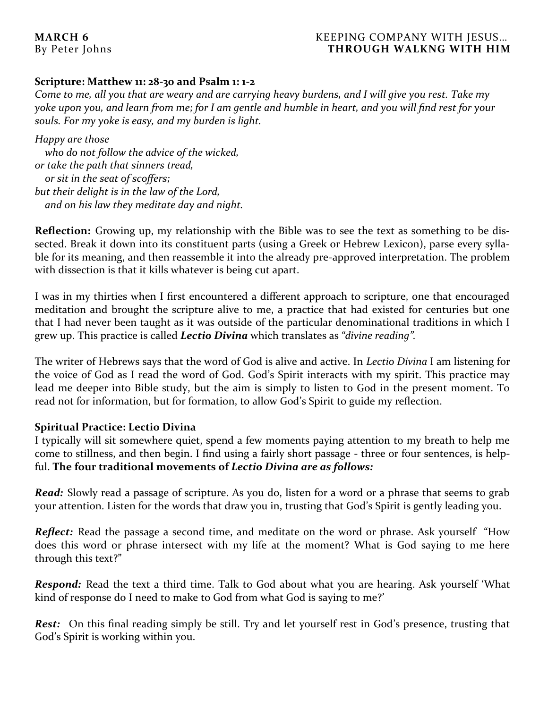#### **MARCH 6** KEEPING COMPANY WITH JESUS… By Peter Johns **THROUGH WALKNG WITH HIM**

## **Scripture: Matthew 11: 28-30 and Psalm 1: 1-2**

*Come to me, all you that are weary and are carrying heavy burdens, and I will give you rest. Take my yoke upon you, and learn from me; for I am gentle and humble in heart, and you will find rest for your souls. For my yoke is easy, and my burden is light.*

*Happy are those who do not follow the advice of the wicked, or take the path that sinners tread, or sit in the seat of scoffers; but their delight is in the law of the Lord, and on his law they meditate day and night.*

**Reflection:** Growing up, my relationship with the Bible was to see the text as something to be dissected. Break it down into its constituent parts (using a Greek or Hebrew Lexicon), parse every syllable for its meaning, and then reassemble it into the already pre-approved interpretation. The problem with dissection is that it kills whatever is being cut apart.

I was in my thirties when I first encountered a different approach to scripture, one that encouraged meditation and brought the scripture alive to me, a practice that had existed for centuries but one that I had never been taught as it was outside of the particular denominational traditions in which I grew up. This practice is called *Lectio Divina* which translates as *"divine reading".*

The writer of Hebrews says that the word of God is alive and active. In *Lectio Divina* I am listening for the voice of God as I read the word of God. God's Spirit interacts with my spirit. This practice may lead me deeper into Bible study, but the aim is simply to listen to God in the present moment. To read not for information, but for formation, to allow God's Spirit to guide my reflection.

#### **Spiritual Practice: Lectio Divina**

I typically will sit somewhere quiet, spend a few moments paying attention to my breath to help me come to stillness, and then begin. I find using a fairly short passage - three or four sentences, is helpful. **The four traditional movements of** *Lectio Divina are as follows:*

*Read:* Slowly read a passage of scripture. As you do, listen for a word or a phrase that seems to grab your attention. Listen for the words that draw you in, trusting that God's Spirit is gently leading you.

**Reflect:** Read the passage a second time, and meditate on the word or phrase. Ask yourself "How does this word or phrase intersect with my life at the moment? What is God saying to me here through this text?"

*Respond:* Read the text a third time. Talk to God about what you are hearing. Ask yourself 'What kind of response do I need to make to God from what God is saying to me?'

**Rest:** On this final reading simply be still. Try and let yourself rest in God's presence, trusting that God's Spirit is working within you.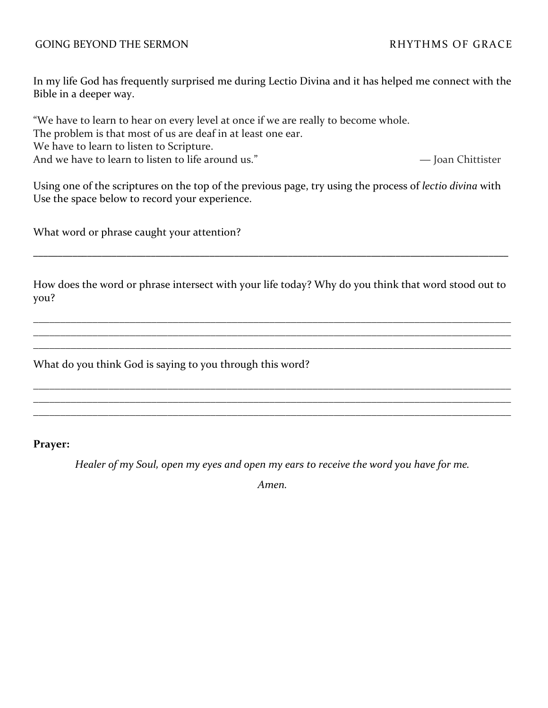#### GOING BEYOND THE SERMON GOING AND RHYTHMS OF GRACE

In my life God has frequently surprised me during Lectio Divina and it has helped me connect with the Bible in a deeper way.

"We have to learn to hear on every level at once if we are really to become whole.

The problem is that most of us are deaf in at least one ear.

We have to learn to listen to Scripture.

And we have to learn to listen to life around us." — Joan Chittister

Using one of the scriptures on the top of the previous page, try using the process of *lectio divina* with Use the space below to record your experience.

What word or phrase caught your attention?

How does the word or phrase intersect with your life today? Why do you think that word stood out to you?

\_\_\_\_\_\_\_\_\_\_\_\_\_\_\_\_\_\_\_\_\_\_\_\_\_\_\_\_\_\_\_\_\_\_\_\_\_\_\_\_\_\_\_\_\_\_\_\_\_\_\_\_\_\_\_\_\_\_\_\_\_\_\_\_\_\_\_\_\_\_\_\_\_\_\_\_\_\_\_\_\_\_\_\_\_\_\_\_\_ \_\_\_\_\_\_\_\_\_\_\_\_\_\_\_\_\_\_\_\_\_\_\_\_\_\_\_\_\_\_\_\_\_\_\_\_\_\_\_\_\_\_\_\_\_\_\_\_\_\_\_\_\_\_\_\_\_\_\_\_\_\_\_\_\_\_\_\_\_\_\_\_\_\_\_\_\_\_\_\_\_\_\_\_\_\_\_\_\_ \_\_\_\_\_\_\_\_\_\_\_\_\_\_\_\_\_\_\_\_\_\_\_\_\_\_\_\_\_\_\_\_\_\_\_\_\_\_\_\_\_\_\_\_\_\_\_\_\_\_\_\_\_\_\_\_\_\_\_\_\_\_\_\_\_\_\_\_\_\_\_\_\_\_\_\_\_\_\_\_\_\_\_\_\_\_\_\_\_

\_\_\_\_\_\_\_\_\_\_\_\_\_\_\_\_\_\_\_\_\_\_\_\_\_\_\_\_\_\_\_\_\_\_\_\_\_\_\_\_\_\_\_\_\_\_\_\_\_\_\_\_\_\_\_\_\_\_\_\_\_\_\_\_\_\_\_\_\_\_\_\_\_\_\_\_\_\_\_\_\_\_\_\_\_\_\_\_\_ \_\_\_\_\_\_\_\_\_\_\_\_\_\_\_\_\_\_\_\_\_\_\_\_\_\_\_\_\_\_\_\_\_\_\_\_\_\_\_\_\_\_\_\_\_\_\_\_\_\_\_\_\_\_\_\_\_\_\_\_\_\_\_\_\_\_\_\_\_\_\_\_\_\_\_\_\_\_\_\_\_\_\_\_\_\_\_\_\_ \_\_\_\_\_\_\_\_\_\_\_\_\_\_\_\_\_\_\_\_\_\_\_\_\_\_\_\_\_\_\_\_\_\_\_\_\_\_\_\_\_\_\_\_\_\_\_\_\_\_\_\_\_\_\_\_\_\_\_\_\_\_\_\_\_\_\_\_\_\_\_\_\_\_\_\_\_\_\_\_\_\_\_\_\_\_\_\_\_

\_\_\_\_\_\_\_\_\_\_\_\_\_\_\_\_\_\_\_\_\_\_\_\_\_\_\_\_\_\_\_\_\_\_\_\_\_\_\_\_\_\_\_\_\_\_\_\_\_\_\_\_\_\_\_\_\_\_\_\_\_\_\_\_\_\_\_\_\_\_\_\_\_\_\_\_\_\_\_\_\_\_\_\_\_\_\_\_\_\_\_\_\_\_\_\_\_

What do you think God is saying to you through this word?

#### **Prayer:**

*Healer of my Soul, open my eyes and open my ears to receive the word you have for me.* 

*Amen.*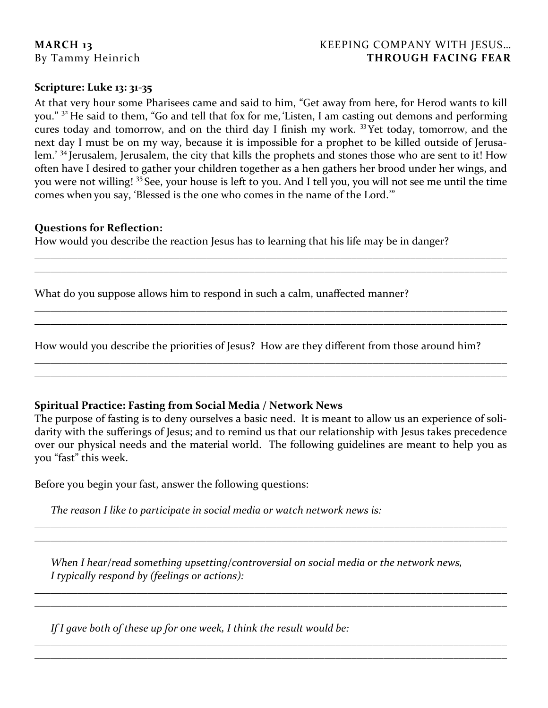# **MARCH 13** KEEPING COMPANY WITH JESUS... By Tammy Heinrich **THROUGH FACING FEAR**

### **Scripture: Luke 13: 31-35**

At that very hour some Pharisees came and said to him, "Get away from here, for Herod wants to kill you." <sup>32</sup> He said to them, "Go and tell that fox for me, 'Listen, I am casting out demons and performing cures today and tomorrow, and on the third day I finish my work. <sup>33</sup>Yet today, tomorrow, and the next day I must be on my way, because it is impossible for a prophet to be killed outside of Jerusalem.' <sup>34</sup> Jerusalem, Jerusalem, the city that kills the prophets and stones those who are sent to it! How often have I desired to gather your children together as a hen gathers her brood under her wings, and you were not willing! <sup>35</sup> See, your house is left to you. And I tell you, you will not see me until the time comes when you say, 'Blessed is the one who comes in the name of the Lord.'"

\_\_\_\_\_\_\_\_\_\_\_\_\_\_\_\_\_\_\_\_\_\_\_\_\_\_\_\_\_\_\_\_\_\_\_\_\_\_\_\_\_\_\_\_\_\_\_\_\_\_\_\_\_\_\_\_\_\_\_\_\_\_\_\_\_\_\_\_\_\_\_\_\_\_\_\_\_\_\_\_\_\_\_\_\_\_\_\_ \_\_\_\_\_\_\_\_\_\_\_\_\_\_\_\_\_\_\_\_\_\_\_\_\_\_\_\_\_\_\_\_\_\_\_\_\_\_\_\_\_\_\_\_\_\_\_\_\_\_\_\_\_\_\_\_\_\_\_\_\_\_\_\_\_\_\_\_\_\_\_\_\_\_\_\_\_\_\_\_\_\_\_\_\_\_\_\_

\_\_\_\_\_\_\_\_\_\_\_\_\_\_\_\_\_\_\_\_\_\_\_\_\_\_\_\_\_\_\_\_\_\_\_\_\_\_\_\_\_\_\_\_\_\_\_\_\_\_\_\_\_\_\_\_\_\_\_\_\_\_\_\_\_\_\_\_\_\_\_\_\_\_\_\_\_\_\_\_\_\_\_\_\_\_\_\_ \_\_\_\_\_\_\_\_\_\_\_\_\_\_\_\_\_\_\_\_\_\_\_\_\_\_\_\_\_\_\_\_\_\_\_\_\_\_\_\_\_\_\_\_\_\_\_\_\_\_\_\_\_\_\_\_\_\_\_\_\_\_\_\_\_\_\_\_\_\_\_\_\_\_\_\_\_\_\_\_\_\_\_\_\_\_\_\_

\_\_\_\_\_\_\_\_\_\_\_\_\_\_\_\_\_\_\_\_\_\_\_\_\_\_\_\_\_\_\_\_\_\_\_\_\_\_\_\_\_\_\_\_\_\_\_\_\_\_\_\_\_\_\_\_\_\_\_\_\_\_\_\_\_\_\_\_\_\_\_\_\_\_\_\_\_\_\_\_\_\_\_\_\_\_\_\_ \_\_\_\_\_\_\_\_\_\_\_\_\_\_\_\_\_\_\_\_\_\_\_\_\_\_\_\_\_\_\_\_\_\_\_\_\_\_\_\_\_\_\_\_\_\_\_\_\_\_\_\_\_\_\_\_\_\_\_\_\_\_\_\_\_\_\_\_\_\_\_\_\_\_\_\_\_\_\_\_\_\_\_\_\_\_\_\_

#### **Questions for Reflection:**

How would you describe the reaction Jesus has to learning that his life may be in danger?

What do you suppose allows him to respond in such a calm, unaffected manner?

How would you describe the priorities of Jesus? How are they different from those around him?

# **Spiritual Practice: Fasting from Social Media / Network News**

The purpose of fasting is to deny ourselves a basic need. It is meant to allow us an experience of solidarity with the sufferings of Jesus; and to remind us that our relationship with Jesus takes precedence over our physical needs and the material world. The following guidelines are meant to help you as you "fast" this week.

\_\_\_\_\_\_\_\_\_\_\_\_\_\_\_\_\_\_\_\_\_\_\_\_\_\_\_\_\_\_\_\_\_\_\_\_\_\_\_\_\_\_\_\_\_\_\_\_\_\_\_\_\_\_\_\_\_\_\_\_\_\_\_\_\_\_\_\_\_\_\_\_\_\_\_\_\_\_\_\_\_\_\_\_\_\_\_\_ \_\_\_\_\_\_\_\_\_\_\_\_\_\_\_\_\_\_\_\_\_\_\_\_\_\_\_\_\_\_\_\_\_\_\_\_\_\_\_\_\_\_\_\_\_\_\_\_\_\_\_\_\_\_\_\_\_\_\_\_\_\_\_\_\_\_\_\_\_\_\_\_\_\_\_\_\_\_\_\_\_\_\_\_\_\_\_\_

\_\_\_\_\_\_\_\_\_\_\_\_\_\_\_\_\_\_\_\_\_\_\_\_\_\_\_\_\_\_\_\_\_\_\_\_\_\_\_\_\_\_\_\_\_\_\_\_\_\_\_\_\_\_\_\_\_\_\_\_\_\_\_\_\_\_\_\_\_\_\_\_\_\_\_\_\_\_\_\_\_\_\_\_\_\_\_\_ \_\_\_\_\_\_\_\_\_\_\_\_\_\_\_\_\_\_\_\_\_\_\_\_\_\_\_\_\_\_\_\_\_\_\_\_\_\_\_\_\_\_\_\_\_\_\_\_\_\_\_\_\_\_\_\_\_\_\_\_\_\_\_\_\_\_\_\_\_\_\_\_\_\_\_\_\_\_\_\_\_\_\_\_\_\_\_\_

\_\_\_\_\_\_\_\_\_\_\_\_\_\_\_\_\_\_\_\_\_\_\_\_\_\_\_\_\_\_\_\_\_\_\_\_\_\_\_\_\_\_\_\_\_\_\_\_\_\_\_\_\_\_\_\_\_\_\_\_\_\_\_\_\_\_\_\_\_\_\_\_\_\_\_\_\_\_\_\_\_\_\_\_\_\_\_\_ \_\_\_\_\_\_\_\_\_\_\_\_\_\_\_\_\_\_\_\_\_\_\_\_\_\_\_\_\_\_\_\_\_\_\_\_\_\_\_\_\_\_\_\_\_\_\_\_\_\_\_\_\_\_\_\_\_\_\_\_\_\_\_\_\_\_\_\_\_\_\_\_\_\_\_\_\_\_\_\_\_\_\_\_\_\_\_\_

Before you begin your fast, answer the following questions:

*The reason I like to participate in social media or watch network news is:* 

*When I hear/read something upsetting/controversial on social media or the network news, I typically respond by (feelings or actions):*

*If I gave both of these up for one week, I think the result would be:*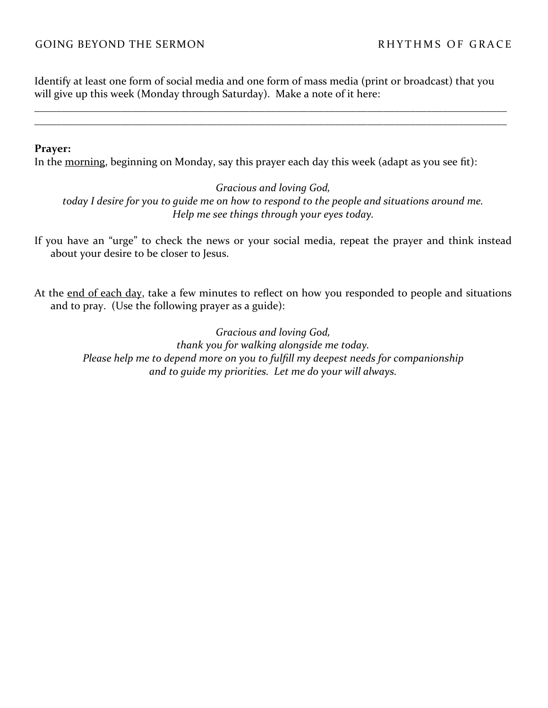### GOING BEYOND THE SERMON RHYTHMS OF GRACE

Identify at least one form of social media and one form of mass media (print or broadcast) that you will give up this week (Monday through Saturday). Make a note of it here:

\_\_\_\_\_\_\_\_\_\_\_\_\_\_\_\_\_\_\_\_\_\_\_\_\_\_\_\_\_\_\_\_\_\_\_\_\_\_\_\_\_\_\_\_\_\_\_\_\_\_\_\_\_\_\_\_\_\_\_\_\_\_\_\_\_\_\_\_\_\_\_\_\_\_\_\_\_\_\_\_\_\_\_\_\_\_\_\_ \_\_\_\_\_\_\_\_\_\_\_\_\_\_\_\_\_\_\_\_\_\_\_\_\_\_\_\_\_\_\_\_\_\_\_\_\_\_\_\_\_\_\_\_\_\_\_\_\_\_\_\_\_\_\_\_\_\_\_\_\_\_\_\_\_\_\_\_\_\_\_\_\_\_\_\_\_\_\_\_\_\_\_\_\_\_\_\_

#### **Prayer:**

In the morning, beginning on Monday, say this prayer each day this week (adapt as you see fit):

*Gracious and loving God, today I desire for you to guide me on how to respond to the people and situations around me. Help me see things through your eyes today.*

If you have an "urge" to check the news or your social media, repeat the prayer and think instead about your desire to be closer to Jesus.

At the end of each day, take a few minutes to reflect on how you responded to people and situations and to pray. (Use the following prayer as a guide):

> *Gracious and loving God, thank you for walking alongside me today. Please help me to depend more on you to fulfill my deepest needs for companionship and to guide my priorities. Let me do your will always.*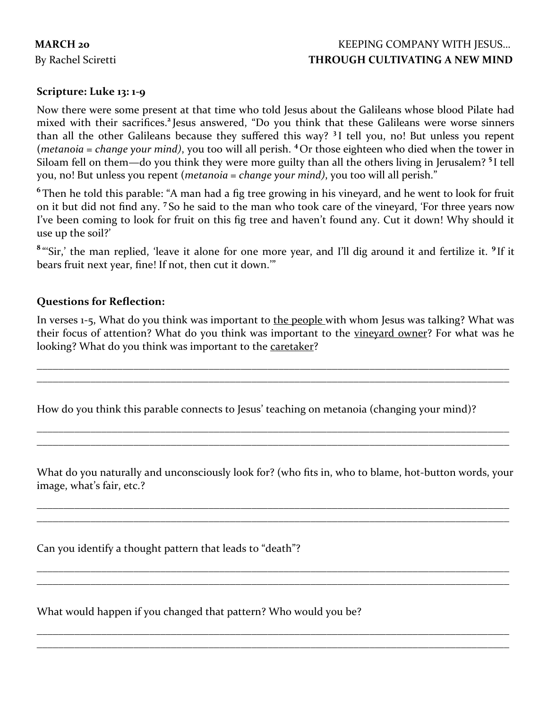# **MARCH 20** KEEPING COMPANY WITH JESUS... By Rachel Sciretti **THROUGH CULTIVATING A NEW MIND**

# **Scripture: Luke 13: 1-9**

Now there were some present at that time who told Jesus about the Galileans whose blood Pilate had mixed with their sacrifices.**<sup>2</sup>** Jesus answered, "Do you think that these Galileans were worse sinners than all the other Galileans because they suffered this way? **<sup>3</sup>** I tell you, no! But unless you repent (*metanoia = change your mind)*, you too will all perish. **<sup>4</sup>** Or those eighteen who died when the tower in Siloam fell on them—do you think they were more guilty than all the others living in Jerusalem? **<sup>5</sup>** I tell you, no! But unless you repent (*metanoia = change your mind)*, you too will all perish."

**6** Then he told this parable: "A man had a fig tree growing in his vineyard, and he went to look for fruit on it but did not find any. **<sup>7</sup>** So he said to the man who took care of the vineyard, 'For three years now I've been coming to look for fruit on this fig tree and haven't found any. Cut it down! Why should it use up the soil?'

<sup>8</sup> "'Sir,' the man replied, 'leave it alone for one more year, and I'll dig around it and fertilize it. <sup>9</sup> If it bears fruit next year, fine! If not, then cut it down.'"

### **Questions for Reflection:**

In verses 1-5, What do you think was important to the people with whom Jesus was talking? What was their focus of attention? What do you think was important to the vineyard owner? For what was he looking? What do you think was important to the caretaker?

\_\_\_\_\_\_\_\_\_\_\_\_\_\_\_\_\_\_\_\_\_\_\_\_\_\_\_\_\_\_\_\_\_\_\_\_\_\_\_\_\_\_\_\_\_\_\_\_\_\_\_\_\_\_\_\_\_\_\_\_\_\_\_\_\_\_\_\_\_\_\_\_\_\_\_\_\_\_\_\_\_\_\_\_\_\_\_\_ \_\_\_\_\_\_\_\_\_\_\_\_\_\_\_\_\_\_\_\_\_\_\_\_\_\_\_\_\_\_\_\_\_\_\_\_\_\_\_\_\_\_\_\_\_\_\_\_\_\_\_\_\_\_\_\_\_\_\_\_\_\_\_\_\_\_\_\_\_\_\_\_\_\_\_\_\_\_\_\_\_\_\_\_\_\_\_\_

\_\_\_\_\_\_\_\_\_\_\_\_\_\_\_\_\_\_\_\_\_\_\_\_\_\_\_\_\_\_\_\_\_\_\_\_\_\_\_\_\_\_\_\_\_\_\_\_\_\_\_\_\_\_\_\_\_\_\_\_\_\_\_\_\_\_\_\_\_\_\_\_\_\_\_\_\_\_\_\_\_\_\_\_\_\_\_\_ \_\_\_\_\_\_\_\_\_\_\_\_\_\_\_\_\_\_\_\_\_\_\_\_\_\_\_\_\_\_\_\_\_\_\_\_\_\_\_\_\_\_\_\_\_\_\_\_\_\_\_\_\_\_\_\_\_\_\_\_\_\_\_\_\_\_\_\_\_\_\_\_\_\_\_\_\_\_\_\_\_\_\_\_\_\_\_\_

How do you think this parable connects to Jesus' teaching on metanoia (changing your mind)?

What do you naturally and unconsciously look for? (who fits in, who to blame, hot-button words, your image, what's fair, etc.?

\_\_\_\_\_\_\_\_\_\_\_\_\_\_\_\_\_\_\_\_\_\_\_\_\_\_\_\_\_\_\_\_\_\_\_\_\_\_\_\_\_\_\_\_\_\_\_\_\_\_\_\_\_\_\_\_\_\_\_\_\_\_\_\_\_\_\_\_\_\_\_\_\_\_\_\_\_\_\_\_\_\_\_\_\_\_\_\_ \_\_\_\_\_\_\_\_\_\_\_\_\_\_\_\_\_\_\_\_\_\_\_\_\_\_\_\_\_\_\_\_\_\_\_\_\_\_\_\_\_\_\_\_\_\_\_\_\_\_\_\_\_\_\_\_\_\_\_\_\_\_\_\_\_\_\_\_\_\_\_\_\_\_\_\_\_\_\_\_\_\_\_\_\_\_\_\_

\_\_\_\_\_\_\_\_\_\_\_\_\_\_\_\_\_\_\_\_\_\_\_\_\_\_\_\_\_\_\_\_\_\_\_\_\_\_\_\_\_\_\_\_\_\_\_\_\_\_\_\_\_\_\_\_\_\_\_\_\_\_\_\_\_\_\_\_\_\_\_\_\_\_\_\_\_\_\_\_\_\_\_\_\_\_\_\_ \_\_\_\_\_\_\_\_\_\_\_\_\_\_\_\_\_\_\_\_\_\_\_\_\_\_\_\_\_\_\_\_\_\_\_\_\_\_\_\_\_\_\_\_\_\_\_\_\_\_\_\_\_\_\_\_\_\_\_\_\_\_\_\_\_\_\_\_\_\_\_\_\_\_\_\_\_\_\_\_\_\_\_\_\_\_\_\_

\_\_\_\_\_\_\_\_\_\_\_\_\_\_\_\_\_\_\_\_\_\_\_\_\_\_\_\_\_\_\_\_\_\_\_\_\_\_\_\_\_\_\_\_\_\_\_\_\_\_\_\_\_\_\_\_\_\_\_\_\_\_\_\_\_\_\_\_\_\_\_\_\_\_\_\_\_\_\_\_\_\_\_\_\_\_\_\_ \_\_\_\_\_\_\_\_\_\_\_\_\_\_\_\_\_\_\_\_\_\_\_\_\_\_\_\_\_\_\_\_\_\_\_\_\_\_\_\_\_\_\_\_\_\_\_\_\_\_\_\_\_\_\_\_\_\_\_\_\_\_\_\_\_\_\_\_\_\_\_\_\_\_\_\_\_\_\_\_\_\_\_\_\_\_\_\_

Can you identify a thought pattern that leads to "death"?

What would happen if you changed that pattern? Who would you be?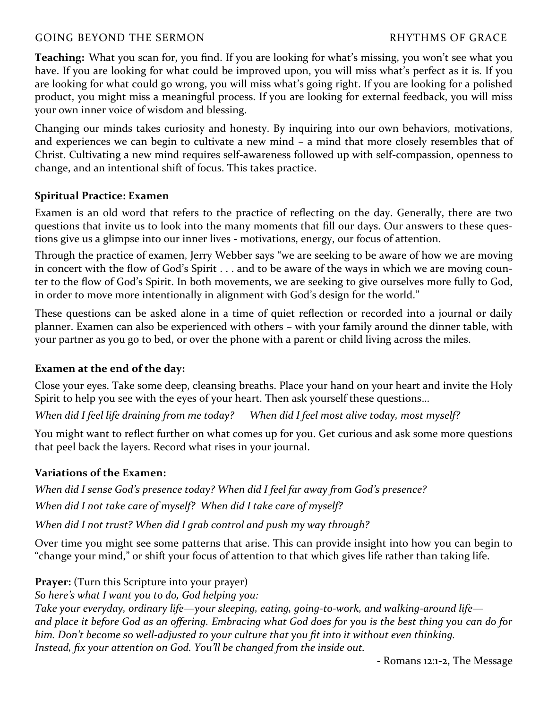# GOING BEYOND THE SERMON **Example 20** and the series of GRACE

**Teaching:** What you scan for, you find. If you are looking for what's missing, you won't see what you have. If you are looking for what could be improved upon, you will miss what's perfect as it is. If you are looking for what could go wrong, you will miss what's going right. If you are looking for a polished product, you might miss a meaningful process. If you are looking for external feedback, you will miss your own inner voice of wisdom and blessing.

Changing our minds takes curiosity and honesty. By inquiring into our own behaviors, motivations, and experiences we can begin to cultivate a new mind – a mind that more closely resembles that of Christ. Cultivating a new mind requires self-awareness followed up with self-compassion, openness to change, and an intentional shift of focus. This takes practice.

### **Spiritual Practice: Examen**

Examen is an old word that refers to the practice of reflecting on the day. Generally, there are two questions that invite us to look into the many moments that fill our days. Our answers to these questions give us a glimpse into our inner lives - motivations, energy, our focus of attention.

Through the practice of examen, Jerry Webber says "we are seeking to be aware of how we are moving in concert with the flow of God's Spirit . . . and to be aware of the ways in which we are moving counter to the flow of God's Spirit. In both movements, we are seeking to give ourselves more fully to God, in order to move more intentionally in alignment with God's design for the world."

These questions can be asked alone in a time of quiet reflection or recorded into a journal or daily planner. Examen can also be experienced with others – with your family around the dinner table, with your partner as you go to bed, or over the phone with a parent or child living across the miles.

# **Examen at the end of the day:**

Close your eyes. Take some deep, cleansing breaths. Place your hand on your heart and invite the Holy Spirit to help you see with the eyes of your heart. Then ask yourself these questions…

*When did I feel life draining from me today? When did I feel most alive today, most myself?*

You might want to reflect further on what comes up for you. Get curious and ask some more questions that peel back the layers. Record what rises in your journal.

# **Variations of the Examen:**

*When did I sense God's presence today? When did I feel far away from God's presence? When did I not take care of myself? When did I take care of myself?*

*When did I not trust? When did I grab control and push my way through?*

Over time you might see some patterns that arise. This can provide insight into how you can begin to "change your mind," or shift your focus of attention to that which gives life rather than taking life.

**Prayer:** (Turn this Scripture into your prayer)

*So here's what I want you to do, God helping you:* 

*Take your everyday, ordinary life—your sleeping, eating, going-to-work, and walking-around life and place it before God as an offering. Embracing what God does for you is the best thing you can do for him. Don't become so well-adjusted to your culture that you fit into it without even thinking. Instead, fix your attention on God. You'll be changed from the inside out.* 

- Romans 12:1-2, The Message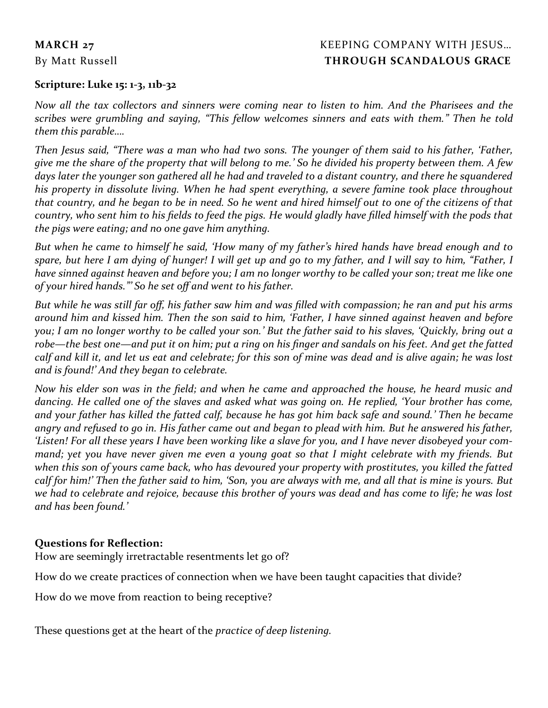# **MARCH 27** KEEPING COMPANY WITH JESUS... By Matt Russell **THROUGH SCANDALOUS GRACE**

## **Scripture: Luke 15: 1-3, 11b-32**

*Now all the tax collectors and sinners were coming near to listen to him. And the Pharisees and the scribes were grumbling and saying, "This fellow welcomes sinners and eats with them." Then he told them this parable….*

*Then Jesus said, "There was a man who had two sons. The younger of them said to his father, 'Father, give me the share of the property that will belong to me.' So he divided his property between them. A few days later the younger son gathered all he had and traveled to a distant country, and there he squandered his property in dissolute living. When he had spent everything, a severe famine took place throughout that country, and he began to be in need. So he went and hired himself out to one of the citizens of that country, who sent him to his fields to feed the pigs. He would gladly have filled himself with the pods that the pigs were eating; and no one gave him anything.*

*But when he came to himself he said, 'How many of my father's hired hands have bread enough and to spare, but here I am dying of hunger! I will get up and go to my father, and I will say to him, "Father, I have sinned against heaven and before you; I am no longer worthy to be called your son; treat me like one of your hired hands."' So he set off and went to his father.* 

*But while he was still far off, his father saw him and was filled with compassion; he ran and put his arms around him and kissed him. Then the son said to him, 'Father, I have sinned against heaven and before you; I am no longer worthy to be called your son.' But the father said to his slaves, 'Quickly, bring out a robe—the best one—and put it on him; put a ring on his finger and sandals on his feet. And get the fatted calf and kill it, and let us eat and celebrate; for this son of mine was dead and is alive again; he was lost and is found!' And they began to celebrate.*

*Now his elder son was in the field; and when he came and approached the house, he heard music and dancing. He called one of the slaves and asked what was going on. He replied, 'Your brother has come, and your father has killed the fatted calf, because he has got him back safe and sound.' Then he became angry and refused to go in. His father came out and began to plead with him. But he answered his father, 'Listen! For all these years I have been working like a slave for you, and I have never disobeyed your command; yet you have never given me even a young goat so that I might celebrate with my friends. But*  when this son of yours came back, who has devoured your property with prostitutes, you killed the fatted *calf for him!' Then the father said to him, 'Son, you are always with me, and all that is mine is yours. But we had to celebrate and rejoice, because this brother of yours was dead and has come to life; he was lost and has been found.'*

# **Questions for Reflection:**

How are seemingly irretractable resentments let go of?

How do we create practices of connection when we have been taught capacities that divide?

How do we move from reaction to being receptive?

These questions get at the heart of the *practice of deep listening.*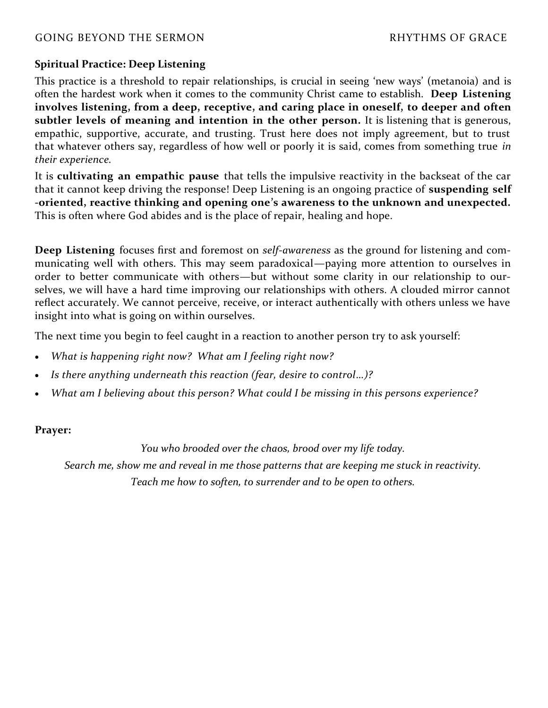# GOING BEYOND THE SERMON **Example 20** and the series of GRACE

# **Spiritual Practice: Deep Listening**

This practice is a threshold to repair relationships, is crucial in seeing 'new ways' (metanoia) and is often the hardest work when it comes to the community Christ came to establish. **Deep Listening involves listening, from a deep, receptive, and caring place in oneself, to deeper and often subtler levels of meaning and intention in the other person.** It is listening that is generous, empathic, supportive, accurate, and trusting. Trust here does not imply agreement, but to trust that whatever others say, regardless of how well or poorly it is said, comes from something true *in their experience.*

It is **cultivating an empathic pause** that tells the impulsive reactivity in the backseat of the car that it cannot keep driving the response! Deep Listening is an ongoing practice of **suspending self -oriented, reactive thinking and opening one's awareness to the unknown and unexpected.** This is often where God abides and is the place of repair, healing and hope.

**Deep Listening** focuses first and foremost on *self-awareness* as the ground for listening and communicating well with others. This may seem paradoxical—paying more attention to ourselves in order to better communicate with others—but without some clarity in our relationship to ourselves, we will have a hard time improving our relationships with others. A clouded mirror cannot reflect accurately. We cannot perceive, receive, or interact authentically with others unless we have insight into what is going on within ourselves.

The next time you begin to feel caught in a reaction to another person try to ask yourself:

- *What is happening right now? What am I feeling right now?*
- *Is there anything underneath this reaction (fear, desire to control…)?*
- *What am I believing about this person? What could I be missing in this persons experience?*

# **Prayer:**

*You who brooded over the chaos, brood over my life today.* 

*Search me, show me and reveal in me those patterns that are keeping me stuck in reactivity.* 

*Teach me how to soften, to surrender and to be open to others.*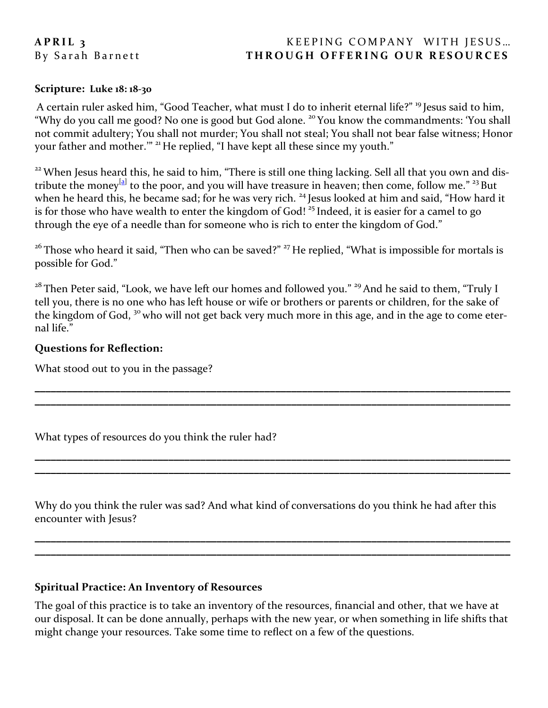# **A P R I L 3 KEEPING COMPANY WITH JESUS...** By Sarah Barnett **THROUGH OFFERING OUR RESOURCES**

#### **Scripture: Luke 18: 18-30**

A certain ruler asked him, "Good Teacher, what must I do to inherit eternal life?" <sup>19</sup> Jesus said to him, "Why do you call me good? No one is good but God alone. <sup>20</sup> You know the commandments: 'You shall not commit adultery; You shall not murder; You shall not steal; You shall not bear false witness; Honor your father and mother."" <sup>21</sup> He replied, "I have kept all these since my youth."

<sup>22</sup> When Jesus heard this, he said to him, "There is still one thing lacking. Sell all that you own and distribute the money<sup>[[a\]](https://www.biblegateway.com/passage/?search=Luke+18%3A18-30&version=NRSV#fen-NRSV-25702a)</sup> to the poor, and you will have treasure in heaven; then come, follow me." <sup>23</sup> But when he heard this, he became sad; for he was very rich. <sup>24</sup> Jesus looked at him and said, "How hard it is for those who have wealth to enter the kingdom of God!<sup>25</sup> Indeed, it is easier for a camel to go through the eye of a needle than for someone who is rich to enter the kingdom of God."

<sup>26</sup> Those who heard it said, "Then who can be saved?" <sup>27</sup> He replied, "What is impossible for mortals is possible for God."

<sup>28</sup> Then Peter said, "Look, we have left our homes and followed you." <sup>29</sup> And he said to them, "Truly I tell you, there is no one who has left house or wife or brothers or parents or children, for the sake of the kingdom of God, <sup>30</sup> who will not get back very much more in this age, and in the age to come eternal life."

**\_\_\_\_\_\_\_\_\_\_\_\_\_\_\_\_\_\_\_\_\_\_\_\_\_\_\_\_\_\_\_\_\_\_\_\_\_\_\_\_\_\_\_\_\_\_\_\_\_\_\_\_\_\_\_\_\_\_\_\_\_\_\_\_\_\_\_\_\_\_\_\_\_\_\_\_\_\_\_\_\_\_\_\_\_\_\_\_\_ \_\_\_\_\_\_\_\_\_\_\_\_\_\_\_\_\_\_\_\_\_\_\_\_\_\_\_\_\_\_\_\_\_\_\_\_\_\_\_\_\_\_\_\_\_\_\_\_\_\_\_\_\_\_\_\_\_\_\_\_\_\_\_\_\_\_\_\_\_\_\_\_\_\_\_\_\_\_\_\_\_\_\_\_\_\_\_\_\_**

**\_\_\_\_\_\_\_\_\_\_\_\_\_\_\_\_\_\_\_\_\_\_\_\_\_\_\_\_\_\_\_\_\_\_\_\_\_\_\_\_\_\_\_\_\_\_\_\_\_\_\_\_\_\_\_\_\_\_\_\_\_\_\_\_\_\_\_\_\_\_\_\_\_\_\_\_\_\_\_\_\_\_\_\_\_\_\_\_\_ \_\_\_\_\_\_\_\_\_\_\_\_\_\_\_\_\_\_\_\_\_\_\_\_\_\_\_\_\_\_\_\_\_\_\_\_\_\_\_\_\_\_\_\_\_\_\_\_\_\_\_\_\_\_\_\_\_\_\_\_\_\_\_\_\_\_\_\_\_\_\_\_\_\_\_\_\_\_\_\_\_\_\_\_\_\_\_\_\_**

#### **Questions for Reflection:**

What stood out to you in the passage?

What types of resources do you think the ruler had?

Why do you think the ruler was sad? And what kind of conversations do you think he had after this encounter with Jesus?

**\_\_\_\_\_\_\_\_\_\_\_\_\_\_\_\_\_\_\_\_\_\_\_\_\_\_\_\_\_\_\_\_\_\_\_\_\_\_\_\_\_\_\_\_\_\_\_\_\_\_\_\_\_\_\_\_\_\_\_\_\_\_\_\_\_\_\_\_\_\_\_\_\_\_\_\_\_\_\_\_\_\_\_\_\_\_\_\_\_ \_\_\_\_\_\_\_\_\_\_\_\_\_\_\_\_\_\_\_\_\_\_\_\_\_\_\_\_\_\_\_\_\_\_\_\_\_\_\_\_\_\_\_\_\_\_\_\_\_\_\_\_\_\_\_\_\_\_\_\_\_\_\_\_\_\_\_\_\_\_\_\_\_\_\_\_\_\_\_\_\_\_\_\_\_\_\_\_\_**

#### **Spiritual Practice: An Inventory of Resources**

The goal of this practice is to take an inventory of the resources, financial and other, that we have at our disposal. It can be done annually, perhaps with the new year, or when something in life shifts that might change your resources. Take some time to reflect on a few of the questions.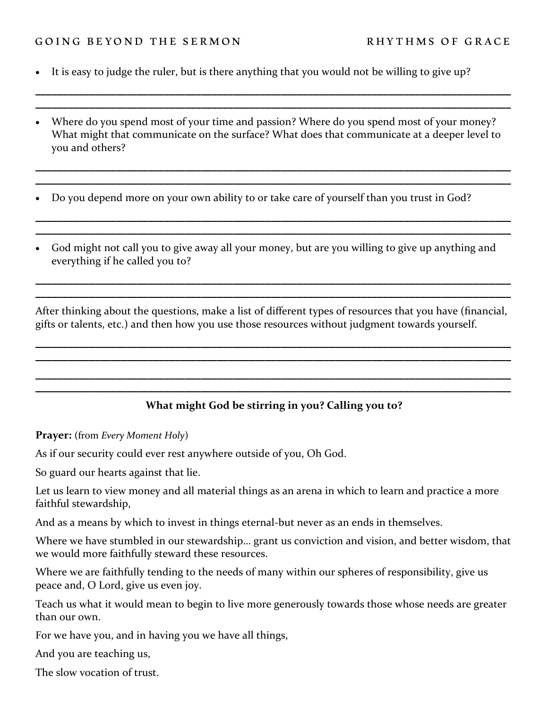#### GOING BEYOND THE SERMON RHYTHMS OF GRACE

- It is easy to judge the ruler, but is there anything that you would not be willing to give up?
- Where do you spend most of your time and passion? Where do you spend most of your money? What might that communicate on the surface? What does that communicate at a deeper level to you and others?

**\_\_\_\_\_\_\_\_\_\_\_\_\_\_\_\_\_\_\_\_\_\_\_\_\_\_\_\_\_\_\_\_\_\_\_\_\_\_\_\_\_\_\_\_\_\_\_\_\_\_\_\_\_\_\_\_\_\_\_\_\_\_\_\_\_\_\_\_\_\_\_\_\_\_\_\_\_\_\_\_\_\_\_\_\_\_\_\_\_ \_\_\_\_\_\_\_\_\_\_\_\_\_\_\_\_\_\_\_\_\_\_\_\_\_\_\_\_\_\_\_\_\_\_\_\_\_\_\_\_\_\_\_\_\_\_\_\_\_\_\_\_\_\_\_\_\_\_\_\_\_\_\_\_\_\_\_\_\_\_\_\_\_\_\_\_\_\_\_\_\_\_\_\_\_\_\_\_\_**

**\_\_\_\_\_\_\_\_\_\_\_\_\_\_\_\_\_\_\_\_\_\_\_\_\_\_\_\_\_\_\_\_\_\_\_\_\_\_\_\_\_\_\_\_\_\_\_\_\_\_\_\_\_\_\_\_\_\_\_\_\_\_\_\_\_\_\_\_\_\_\_\_\_\_\_\_\_\_\_\_\_\_\_\_\_\_\_\_\_ \_\_\_\_\_\_\_\_\_\_\_\_\_\_\_\_\_\_\_\_\_\_\_\_\_\_\_\_\_\_\_\_\_\_\_\_\_\_\_\_\_\_\_\_\_\_\_\_\_\_\_\_\_\_\_\_\_\_\_\_\_\_\_\_\_\_\_\_\_\_\_\_\_\_\_\_\_\_\_\_\_\_\_\_\_\_\_\_\_**

**\_\_\_\_\_\_\_\_\_\_\_\_\_\_\_\_\_\_\_\_\_\_\_\_\_\_\_\_\_\_\_\_\_\_\_\_\_\_\_\_\_\_\_\_\_\_\_\_\_\_\_\_\_\_\_\_\_\_\_\_\_\_\_\_\_\_\_\_\_\_\_\_\_\_\_\_\_\_\_\_\_\_\_\_\_\_\_\_\_ \_\_\_\_\_\_\_\_\_\_\_\_\_\_\_\_\_\_\_\_\_\_\_\_\_\_\_\_\_\_\_\_\_\_\_\_\_\_\_\_\_\_\_\_\_\_\_\_\_\_\_\_\_\_\_\_\_\_\_\_\_\_\_\_\_\_\_\_\_\_\_\_\_\_\_\_\_\_\_\_\_\_\_\_\_\_\_\_\_**

• Do you depend more on your own ability to or take care of yourself than you trust in God?

• God might not call you to give away all your money, but are you willing to give up anything and everything if he called you to?

After thinking about the questions, make a list of different types of resources that you have (financial, gifts or talents, etc.) and then how you use those resources without judgment towards yourself.

**\_\_\_\_\_\_\_\_\_\_\_\_\_\_\_\_\_\_\_\_\_\_\_\_\_\_\_\_\_\_\_\_\_\_\_\_\_\_\_\_\_\_\_\_\_\_\_\_\_\_\_\_\_\_\_\_\_\_\_\_\_\_\_\_\_\_\_\_\_\_\_\_\_\_\_\_\_\_\_\_\_\_\_\_\_\_\_\_\_ \_\_\_\_\_\_\_\_\_\_\_\_\_\_\_\_\_\_\_\_\_\_\_\_\_\_\_\_\_\_\_\_\_\_\_\_\_\_\_\_\_\_\_\_\_\_\_\_\_\_\_\_\_\_\_\_\_\_\_\_\_\_\_\_\_\_\_\_\_\_\_\_\_\_\_\_\_\_\_\_\_\_\_\_\_\_\_\_\_**

**\_\_\_\_\_\_\_\_\_\_\_\_\_\_\_\_\_\_\_\_\_\_\_\_\_\_\_\_\_\_\_\_\_\_\_\_\_\_\_\_\_\_\_\_\_\_\_\_\_\_\_\_\_\_\_\_\_\_\_\_\_\_\_\_\_\_\_\_\_\_\_\_\_\_\_\_\_\_\_\_\_\_\_\_\_\_\_\_\_ \_\_\_\_\_\_\_\_\_\_\_\_\_\_\_\_\_\_\_\_\_\_\_\_\_\_\_\_\_\_\_\_\_\_\_\_\_\_\_\_\_\_\_\_\_\_\_\_\_\_\_\_\_\_\_\_\_\_\_\_\_\_\_\_\_\_\_\_\_\_\_\_\_\_\_\_\_\_\_\_\_\_\_\_\_\_\_\_\_**

**\_\_\_\_\_\_\_\_\_\_\_\_\_\_\_\_\_\_\_\_\_\_\_\_\_\_\_\_\_\_\_\_\_\_\_\_\_\_\_\_\_\_\_\_\_\_\_\_\_\_\_\_\_\_\_\_\_\_\_\_\_\_\_\_\_\_\_\_\_\_\_\_\_\_\_\_\_\_\_\_\_\_\_\_\_\_\_\_\_ \_\_\_\_\_\_\_\_\_\_\_\_\_\_\_\_\_\_\_\_\_\_\_\_\_\_\_\_\_\_\_\_\_\_\_\_\_\_\_\_\_\_\_\_\_\_\_\_\_\_\_\_\_\_\_\_\_\_\_\_\_\_\_\_\_\_\_\_\_\_\_\_\_\_\_\_\_\_\_\_\_\_\_\_\_\_\_\_\_**

# **What might God be stirring in you? Calling you to?**

**Prayer:** (from *Every Moment Holy*)

As if our security could ever rest anywhere outside of you, Oh God.

So guard our hearts against that lie.

Let us learn to view money and all material things as an arena in which to learn and practice a more faithful stewardship,

And as a means by which to invest in things eternal-but never as an ends in themselves.

Where we have stumbled in our stewardship… grant us conviction and vision, and better wisdom, that we would more faithfully steward these resources.

Where we are faithfully tending to the needs of many within our spheres of responsibility, give us peace and, O Lord, give us even joy.

Teach us what it would mean to begin to live more generously towards those whose needs are greater than our own.

For we have you, and in having you we have all things,

And you are teaching us,

The slow vocation of trust.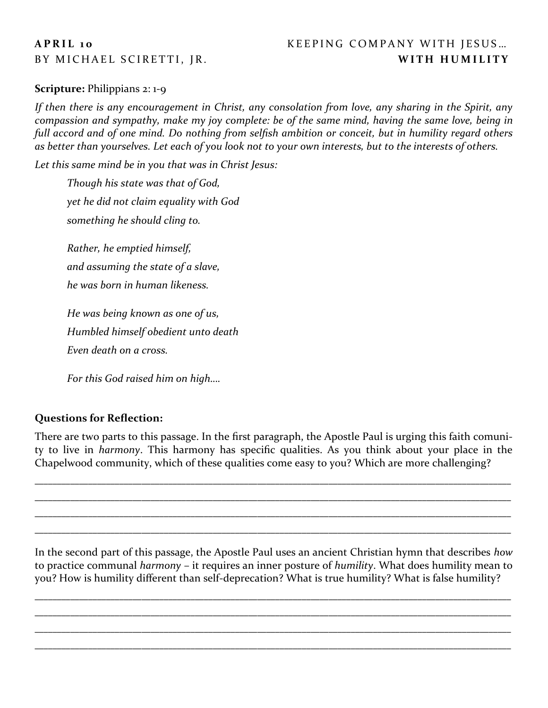# A P R I L 10 KEEPING COMPANY WITH JESUS... BY MICHAEL SCIRETTI, JR. **WITH HUMILITY**

## **Scripture: Philippians 2: 1-9**

*If then there is any encouragement in Christ, any consolation from love, any sharing in the Spirit, any compassion and sympathy, make my joy complete: be of the same mind, having the same love, being in full accord and of one mind. Do nothing from selfish ambition or conceit, but in humility regard others as better than yourselves. Let each of you look not to your own interests, but to the interests of others.*

*Let this same mind be in you that was in Christ Jesus:* 

*Though his state was that of God, yet he did not claim equality with God something he should cling to.* 

*Rather, he emptied himself, and assuming the state of a slave, he was born in human likeness.*

*He was being known as one of us, Humbled himself obedient unto death Even death on a cross.*

*For this God raised him on high….*

# **Questions for Reflection:**

There are two parts to this passage. In the first paragraph, the Apostle Paul is urging this faith comunity to live in *harmony*. This harmony has specific qualities. As you think about your place in the Chapelwood community, which of these qualities come easy to you? Which are more challenging?

\_\_\_\_\_\_\_\_\_\_\_\_\_\_\_\_\_\_\_\_\_\_\_\_\_\_\_\_\_\_\_\_\_\_\_\_\_\_\_\_\_\_\_\_\_\_\_\_\_\_\_\_\_\_\_\_\_\_\_\_\_\_\_\_\_\_\_\_\_\_\_\_\_\_\_\_\_\_\_\_\_\_\_\_\_\_\_\_\_\_\_\_\_\_\_\_\_\_\_\_\_\_\_\_\_\_\_ \_\_\_\_\_\_\_\_\_\_\_\_\_\_\_\_\_\_\_\_\_\_\_\_\_\_\_\_\_\_\_\_\_\_\_\_\_\_\_\_\_\_\_\_\_\_\_\_\_\_\_\_\_\_\_\_\_\_\_\_\_\_\_\_\_\_\_\_\_\_\_\_\_\_\_\_\_\_\_\_\_\_\_\_\_\_\_\_\_\_\_\_\_\_\_\_\_\_\_\_\_\_\_\_\_\_\_ \_\_\_\_\_\_\_\_\_\_\_\_\_\_\_\_\_\_\_\_\_\_\_\_\_\_\_\_\_\_\_\_\_\_\_\_\_\_\_\_\_\_\_\_\_\_\_\_\_\_\_\_\_\_\_\_\_\_\_\_\_\_\_\_\_\_\_\_\_\_\_\_\_\_\_\_\_\_\_\_\_\_\_\_\_\_\_\_\_\_\_\_\_\_\_\_\_\_\_\_\_\_\_\_\_\_\_ \_\_\_\_\_\_\_\_\_\_\_\_\_\_\_\_\_\_\_\_\_\_\_\_\_\_\_\_\_\_\_\_\_\_\_\_\_\_\_\_\_\_\_\_\_\_\_\_\_\_\_\_\_\_\_\_\_\_\_\_\_\_\_\_\_\_\_\_\_\_\_\_\_\_\_\_\_\_\_\_\_\_\_\_\_\_\_\_\_\_\_\_\_\_\_\_\_\_\_\_\_\_\_\_\_\_\_

In the second part of this passage, the Apostle Paul uses an ancient Christian hymn that describes *how* to practice communal *harmony* – it requires an inner posture of *humility*. What does humility mean to you? How is humility different than self-deprecation? What is true humility? What is false humility?

\_\_\_\_\_\_\_\_\_\_\_\_\_\_\_\_\_\_\_\_\_\_\_\_\_\_\_\_\_\_\_\_\_\_\_\_\_\_\_\_\_\_\_\_\_\_\_\_\_\_\_\_\_\_\_\_\_\_\_\_\_\_\_\_\_\_\_\_\_\_\_\_\_\_\_\_\_\_\_\_\_\_\_\_\_\_\_\_\_\_\_\_\_\_\_\_\_\_\_\_\_\_\_\_\_\_\_ \_\_\_\_\_\_\_\_\_\_\_\_\_\_\_\_\_\_\_\_\_\_\_\_\_\_\_\_\_\_\_\_\_\_\_\_\_\_\_\_\_\_\_\_\_\_\_\_\_\_\_\_\_\_\_\_\_\_\_\_\_\_\_\_\_\_\_\_\_\_\_\_\_\_\_\_\_\_\_\_\_\_\_\_\_\_\_\_\_\_\_\_\_\_\_\_\_\_\_\_\_\_\_\_\_\_\_ \_\_\_\_\_\_\_\_\_\_\_\_\_\_\_\_\_\_\_\_\_\_\_\_\_\_\_\_\_\_\_\_\_\_\_\_\_\_\_\_\_\_\_\_\_\_\_\_\_\_\_\_\_\_\_\_\_\_\_\_\_\_\_\_\_\_\_\_\_\_\_\_\_\_\_\_\_\_\_\_\_\_\_\_\_\_\_\_\_\_\_\_\_\_\_\_\_\_\_\_\_\_\_\_\_\_\_ \_\_\_\_\_\_\_\_\_\_\_\_\_\_\_\_\_\_\_\_\_\_\_\_\_\_\_\_\_\_\_\_\_\_\_\_\_\_\_\_\_\_\_\_\_\_\_\_\_\_\_\_\_\_\_\_\_\_\_\_\_\_\_\_\_\_\_\_\_\_\_\_\_\_\_\_\_\_\_\_\_\_\_\_\_\_\_\_\_\_\_\_\_\_\_\_\_\_\_\_\_\_\_\_\_\_\_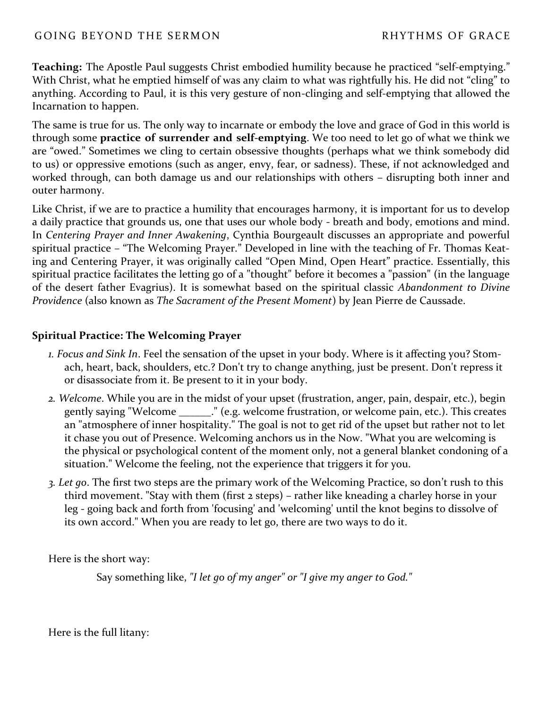## GOING BEYOND THE SERMON **EXAMPLE A GEORGE AND RESERVE** BETWEEN BETWEEN BETWEEN BETWEEN THE SERVER OF GRACE

**Teaching:** The Apostle Paul suggests Christ embodied humility because he practiced "self-emptying." With Christ, what he emptied himself of was any claim to what was rightfully his. He did not "cling" to anything. According to Paul, it is this very gesture of non-clinging and self-emptying that allowed the Incarnation to happen.

The same is true for us. The only way to incarnate or embody the love and grace of God in this world is through some **practice of surrender and self-emptying**. We too need to let go of what we think we are "owed." Sometimes we cling to certain obsessive thoughts (perhaps what we think somebody did to us) or oppressive emotions (such as anger, envy, fear, or sadness). These, if not acknowledged and worked through, can both damage us and our relationships with others – disrupting both inner and outer harmony.

Like Christ, if we are to practice a humility that encourages harmony, it is important for us to develop a daily practice that grounds us, one that uses our whole body - breath and body, emotions and mind. In *Centering Prayer and Inner Awakening*, Cynthia Bourgeault discusses an appropriate and powerful spiritual practice – "The Welcoming Prayer." Developed in line with the teaching of Fr. Thomas Keating and Centering Prayer, it was originally called "Open Mind, Open Heart" practice. Essentially, this spiritual practice facilitates the letting go of a "thought" before it becomes a "passion" (in the language of the desert father Evagrius). It is somewhat based on the spiritual classic *Abandonment to Divine Providence* (also known as *The Sacrament of the Present Moment*) by Jean Pierre de Caussade.

#### **Spiritual Practice: The Welcoming Prayer**

- *1. Focus and Sink In*. Feel the sensation of the upset in your body. Where is it affecting you? Stomach, heart, back, shoulders, etc.? Don't try to change anything, just be present. Don't repress it or disassociate from it. Be present to it in your body.
- *2. Welcome*. While you are in the midst of your upset (frustration, anger, pain, despair, etc.), begin gently saying "Welcome \_\_\_\_\_\_." (e.g. welcome frustration, or welcome pain, etc.). This creates an "atmosphere of inner hospitality." The goal is not to get rid of the upset but rather not to let it chase you out of Presence. Welcoming anchors us in the Now. "What you are welcoming is the physical or psychological content of the moment only, not a general blanket condoning of a situation." Welcome the feeling, not the experience that triggers it for you.
- *3. Let go*. The first two steps are the primary work of the Welcoming Practice, so don't rush to this third movement. "Stay with them (first 2 steps) – rather like kneading a charley horse in your leg - going back and forth from 'focusing' and 'welcoming' until the knot begins to dissolve of its own accord." When you are ready to let go, there are two ways to do it.

Here is the short way:

Say something like, *"I let go of my anger" or "I give my anger to God."*

Here is the full litany: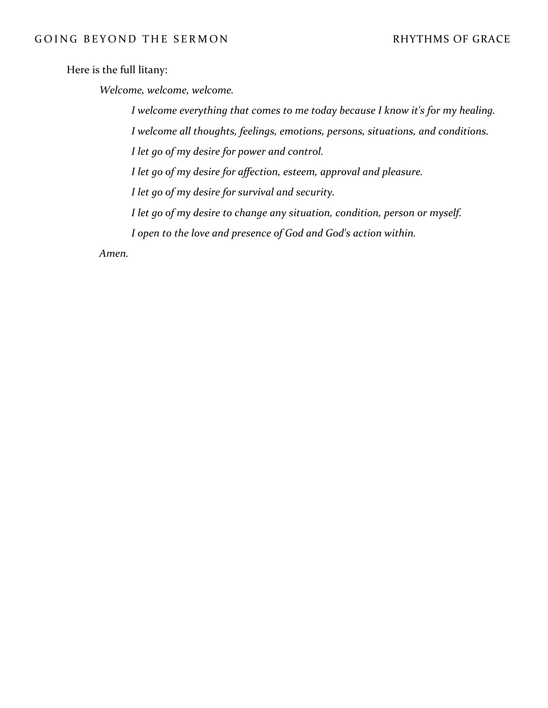Here is the full litany:

*Welcome, welcome, welcome.*

*I welcome everything that comes to me today because I know it's for my healing.*

*I welcome all thoughts, feelings, emotions, persons, situations, and conditions.*

*I let go of my desire for power and control.*

*I let go of my desire for affection, esteem, approval and pleasure.*

*I let go of my desire for survival and security.*

*I let go of my desire to change any situation, condition, person or myself.*

*I open to the love and presence of God and God's action within.* 

*Amen.*